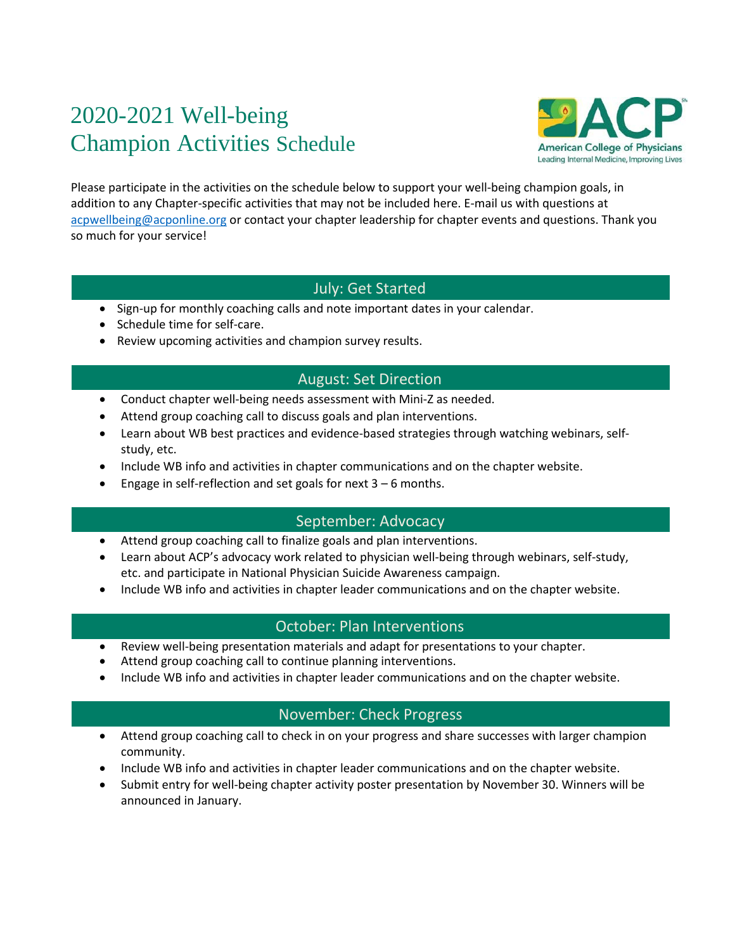# 2020-2021 Well-being Champion Activities Schedule



Please participate in the activities on the schedule below to support your well-being champion goals, in addition to any Chapter-specific activities that may not be included here. E-mail us with questions at [acpwellbeing@acponline.org](mailto:acpwellbeing@acponline.org) or contact your chapter leadership for chapter events and questions. Thank you so much for your service!

# July: Get Started

- Sign-up for monthly coaching calls and note important dates in your calendar.
- Schedule time for self-care.
- Review upcoming activities and champion survey results.

# August: Set Direction

- Conduct chapter well-being needs assessment with Mini-Z as needed.
- Attend group coaching call to discuss goals and plan interventions.
- Learn about WB best practices and evidence-based strategies through watching webinars, selfstudy, etc.
- Include WB info and activities in chapter communications and on the chapter website.
- **•** Engage in self-reflection and set goals for next  $3 6$  months.

# September: Advocacy

- Attend group coaching call to finalize goals and plan interventions.
- Learn about ACP's advocacy work related to physician well-being through webinars, self-study, etc. and participate in National Physician Suicide Awareness campaign.
- Include WB info and activities in chapter leader communications and on the chapter website.

# October: Plan Interventions

- Review well-being presentation materials and adapt for presentations to your chapter.
- Attend group coaching call to continue planning interventions.
- Include WB info and activities in chapter leader communications and on the chapter website.

# November: Check Progress

- Attend group coaching call to check in on your progress and share successes with larger champion community.
- Include WB info and activities in chapter leader communications and on the chapter website.
- Submit entry for well-being chapter activity poster presentation by November 30. Winners will be announced in January.